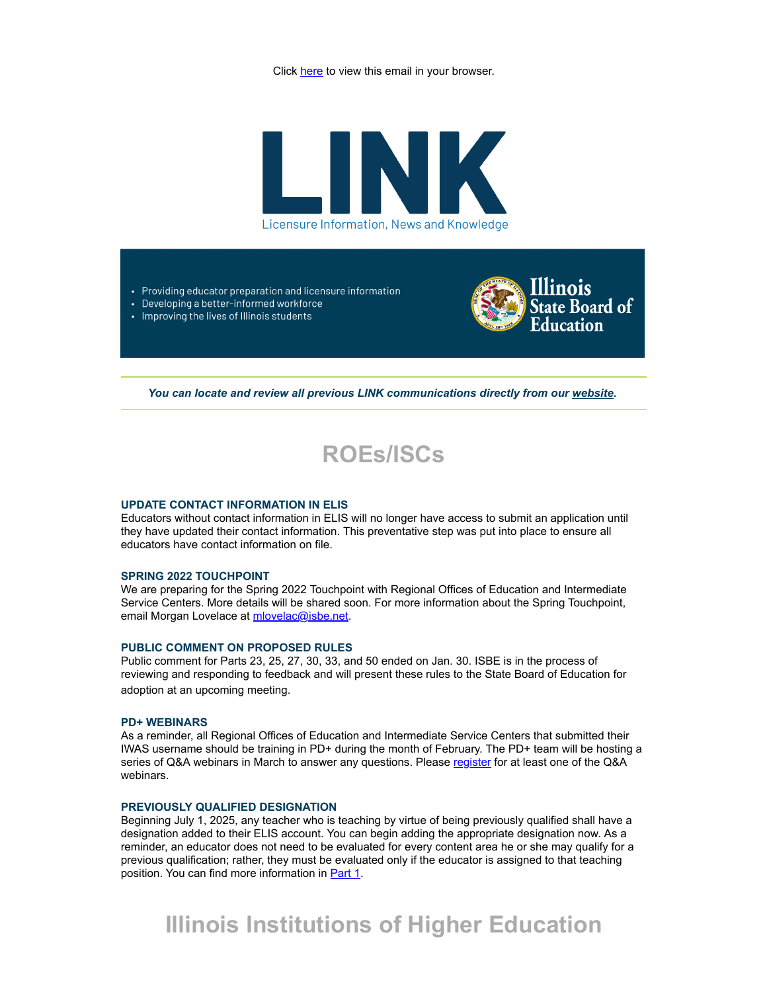Click here to view this email in your browser.



- Providing educator preparation and licensure information
- Developing a better-informed workforce • Improving the lives of Illinois students



You can locate and review all previous LINK communications directly from our [website.](http://link.isbe.net/c/7/eyJhaSI6OTAyMDg4NDQsImUiOiJtbG92ZWxhY0Bpc2JlLm5ldCIsInJpIjoiY29udGFjdC02NTIxMDIyOGU1MWJlYzExYjZlNjAwMGQzYTMzNjBlNC0yY2Q4MmZiNjIzMmQ0NzAyYjFkYzVlNjViZDdhYmM0ZiIsInJxIjoiMDItYjIyMDU1LWU0YzA3YTJhOTFkNDQyYzc5ZDFjZTllNTA1NTkzOWI4IiwicGgiOm51bGwsIm0iOnRydWUsInVpIjoiMiIsInVuIjoiIiwidSI6Imh0dHBzOi8vd3d3LmlzYmUubmV0L1BhZ2VzL0xpY2Vuc3VyZS5hc3B4P19jbGRlZT1iV3h2ZG1Wc1lXTkFhWE5pWlM1dVpYUSUzZCZyZWNpcGllbnRpZD1jb250YWN0LTY1MjEwMjI4ZTUxYmVjMTFiNmU2MDAwZDNhMzM2MGU0LTJjZDgyZmI2MjMyZDQ3MDJiMWRjNWU2NWJkN2FiYzRmJmVzaWQ9NmRiMjYxOWYtZmI5My1lYzExLWI0MDAtMDAwZDNhMzE1ZGEwIn0/vZoAP2gLWMzHHC-GoHyVag)



## **UPDATE CONTACT INFORMATION IN ELIS**

Educators without contact information in ELIS will no longer have access to submit an application until they have updated their contact information. This preventative step was put into place to ensure all educators have contact information on file.

#### **SPRING 2022 TOUCHPOINT**

We are preparing for the Spring 2022 Touchpoint with Regional Offices of Education and Intermediate Service Centers. More details will be shared soon. For more information about the Spring Touchpoint, email Morgan Lovelace at [mlovelac@isbe.net](mailto:mlovelac@isbe.net).

#### **PUBLIC COMMENT ON PROPOSED RULES**

Public comment for Parts 23, 25, 27, 30, 33, and 50 ended on Jan. 30. ISBE is in the process of reviewing and responding to feedback and will present these rules to the State Board of Education for adoption at an upcoming meeting.

## **PD+ WEBINARS**

As a reminder, all Regional Offices of Education and Intermediate Service Centers that submitted their IWAS username should be training in PD+ during the month of February. The PD+ team will be hosting a series of Q&A webinars in March to answer any questions. Please [register](http://link.isbe.net/c/7/eyJhaSI6OTAyMDg4NDQsImUiOiJtbG92ZWxhY0Bpc2JlLm5ldCIsInJpIjoiY29udGFjdC02NTIxMDIyOGU1MWJlYzExYjZlNjAwMGQzYTMzNjBlNC0yY2Q4MmZiNjIzMmQ0NzAyYjFkYzVlNjViZDdhYmM0ZiIsInJxIjoiMDItYjIyMDU1LWU0YzA3YTJhOTFkNDQyYzc5ZDFjZTllNTA1NTkzOWI4IiwicGgiOm51bGwsIm0iOnRydWUsInVpIjoiMyIsInVuIjoiIiwidSI6Imh0dHBzOi8vcmVnaXN0ZXIuZ290b3dlYmluYXIuY29tL3J0Lzg1MDQ1NDkxMzgyNTYwMjIyODU_X2NsZGVlPWJXeHZkbVZzWVdOQWFYTmlaUzV1WlhRJTNkJnJlY2lwaWVudGlkPWNvbnRhY3QtNjUyMTAyMjhlNTFiZWMxMWI2ZTYwMDBkM2EzMzYwZTQtMmNkODJmYjYyMzJkNDcwMmIxZGM1ZTY1YmQ3YWJjNGYmZXNpZD02ZGIyNjE5Zi1mYjkzLWVjMTEtYjQwMC0wMDBkM2EzMTVkYTAifQ/LA1-kyVDNVxTXbQbsuRXog) for at least one of the Q&A webinars.

# **PREVIOUSLY QUALIFIED DESIGNATION**

Beginning July 1, 2025, any teacher who is teaching by virtue of being previously qualified shall have a designation added to their ELIS account. You can begin adding the appropriate designation now. As a reminder, an educator does not need to be evaluated for every content area he or she may qualify for a previous qualification; rather, they must be evaluated only if the educator is assigned to that teaching position. You can find more information in **Part 1**.

# **Illinois Institutions of Higher Education**